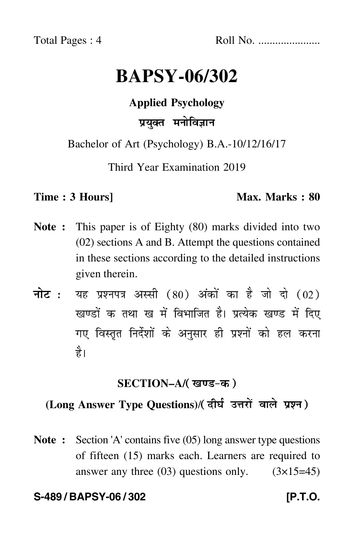Total Pages : 4 Roll No. ......................

# **BAPSY-06/302**

## **Applied Psychology**

# प्रयुक्त मनोविज्ञान

Bachelor of Art (Psychology) B.A.-10/12/16/17

Third Year Examination 2019

#### **Time : 3 Hours]** Max. Marks : 80

- **Note :** This paper is of Eighty (80) marks divided into two (02) sections A and B. Attempt the questions contained in these sections according to the detailed instructions given therein.
- नोट : यह प्रश्नपत्र अस्सी (80) अंकों का है जो दो (02) खण्डों क तथा ख में विभाजित है। प्रत्येक खण्ड में दिए गए विस्तृत निर्देशों के अनुसार ही प्रश्नों को हल करन<mark>ा</mark> है।

# **SECTION–A/**

# (Long Answer Type Questions)/( दीर्घ उत्तरों वाले प्रश्न )

**Note :** Section 'A' contains five (05) long answer type questions of fifteen (15) marks each. Learners are required to answer any three  $(03)$  questions only.  $(3\times15=45)$ 

#### **S-489 / BAPSY-06 / 302 [P.T.O.**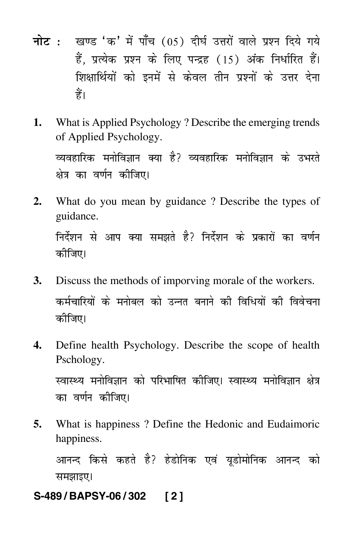- नोट : खण्ड 'क' में पाँच (05) दीर्घ उत्तरों वाले प्रश्न दिये गये हैं, प्रत्येक प्रश्न के लिए पन्द्रह (15) अंक निर्धारित हैं। शिक्षार्थियों को इनमें से केवल तीन प्रश्नों के उत्तर देना हैं।
- What is Applied Psychology? Describe the emerging trends 1. of Applied Psychology. व्यवहारिक मनोविज्ञान क्या है? व्यवहारिक मनोविज्ञान के उभरते क्षेत्र का वर्णन कीजिए।
- What do you mean by guidance? Describe the types of  $2.$ guidance. निर्देशन से आप क्या समझते है? निर्देशन के प्रकारों का वर्णन कीजिए।
- 3. Discuss the methods of imporving morale of the workers. कर्मचारियों के मनोबल को उन्नत बनाने की विधियों की विवेचना कीजिए।
- Define health Psychology. Describe the scope of health 4. Pschology. स्वास्थ्य मनोविज्ञान को परिभाषित कीजिए। स्वास्थ्य मनोविज्ञान क्षेत्र का वर्णन कीजिए।
- 5. What is happiness? Define the Hedonic and Eudaimoric happiness.

आनन्द किसे कहते है? हेडोनिक एवं यूडोमोनिक आनन्द को समझाइए।

S-489/BAPSY-06/302  $\sqrt{2}$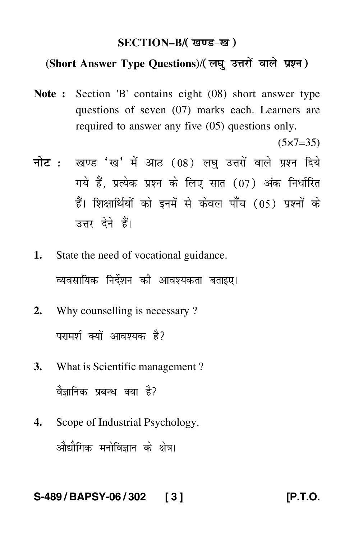## **SECTION–B/**

## (Short Answer Type Questions)/(लघु उत्तरों वाले प्रश्न)

**Note :** Section 'B' contains eight (08) short answer type questions of seven (07) marks each. Learners are required to answer any five (05) questions only.

 $(5 \times 7 = 35)$ 

- <mark>नोट</mark> : खण्ड 'ख' में आठ (08) लघु उत्तरों वाले प्रश्न दिये गये हैं, प्रत्येक प्रश्न के लिए सात (07) अंक निर्धारित हैं। शिक्षार्थियों को इनमें से केवल पाँच (05) प्रश्नों के उत्तर देने हैं।
- **1.** State the need of vocational guidance. व्यवसायिक निर्देशन की आवश्यकता बताइए।
- **2.** Why counselling is necessary ? परामर्श क्यों आवश्यक है?
- **3.** What is Scientific management ? वैज्ञानिक प्रबन्ध क्या है?
- **4.** Scope of Industrial Psychology. औद्यौगिक मनोविज्ञान के क्षेत्र।

#### **S-489 / BAPSY-06 / 302 [ 3 ] [P.T.O.**